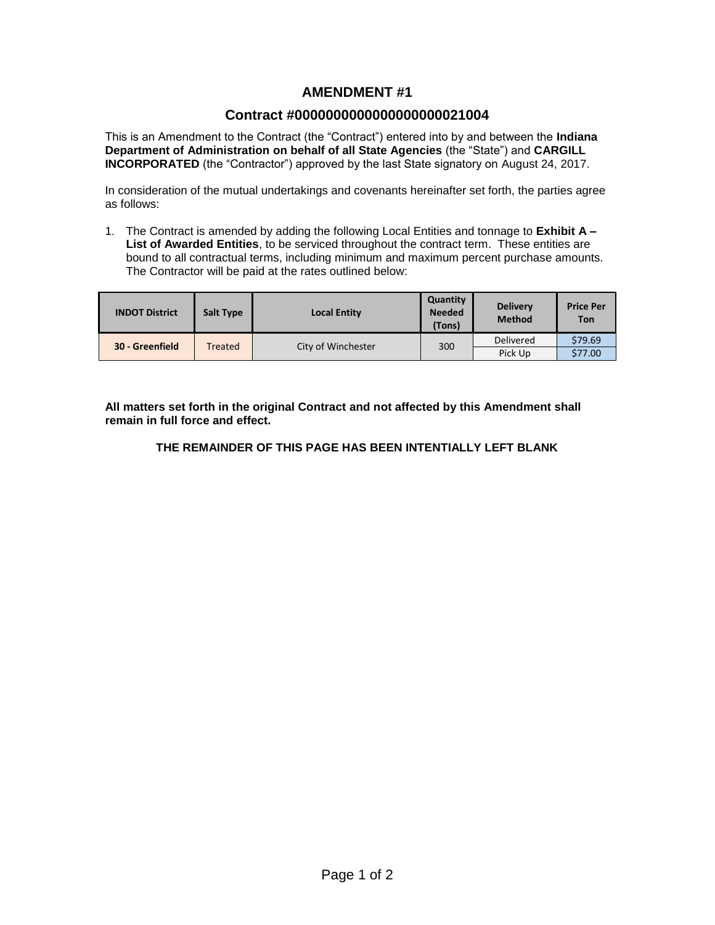# **AMENDMENT #1**

# **Contract #0000000000000000000021004**

This is an Amendment to the Contract (the "Contract") entered into by and between the **Indiana Department of Administration on behalf of all State Agencies** (the "State") and **CARGILL INCORPORATED** (the "Contractor") approved by the last State signatory on August 24, 2017.

In consideration of the mutual undertakings and covenants hereinafter set forth, the parties agree as follows:

1. The Contract is amended by adding the following Local Entities and tonnage to **Exhibit A – List of Awarded Entities**, to be serviced throughout the contract term. These entities are bound to all contractual terms, including minimum and maximum percent purchase amounts. The Contractor will be paid at the rates outlined below:

| <b>INDOT District</b> | <b>Salt Type</b> | <b>Local Entity</b> | Quantity<br><b>Needed</b><br>(Tons) | <b>Delivery</b><br><b>Method</b> | <b>Price Per</b><br><b>Ton</b> |
|-----------------------|------------------|---------------------|-------------------------------------|----------------------------------|--------------------------------|
| 30 - Greenfield       | Treated          | City of Winchester  | 300                                 | <b>Delivered</b>                 | \$79.69                        |
|                       |                  |                     |                                     | Pick Up                          | \$77.00                        |

**All matters set forth in the original Contract and not affected by this Amendment shall remain in full force and effect.**

## **THE REMAINDER OF THIS PAGE HAS BEEN INTENTIALLY LEFT BLANK**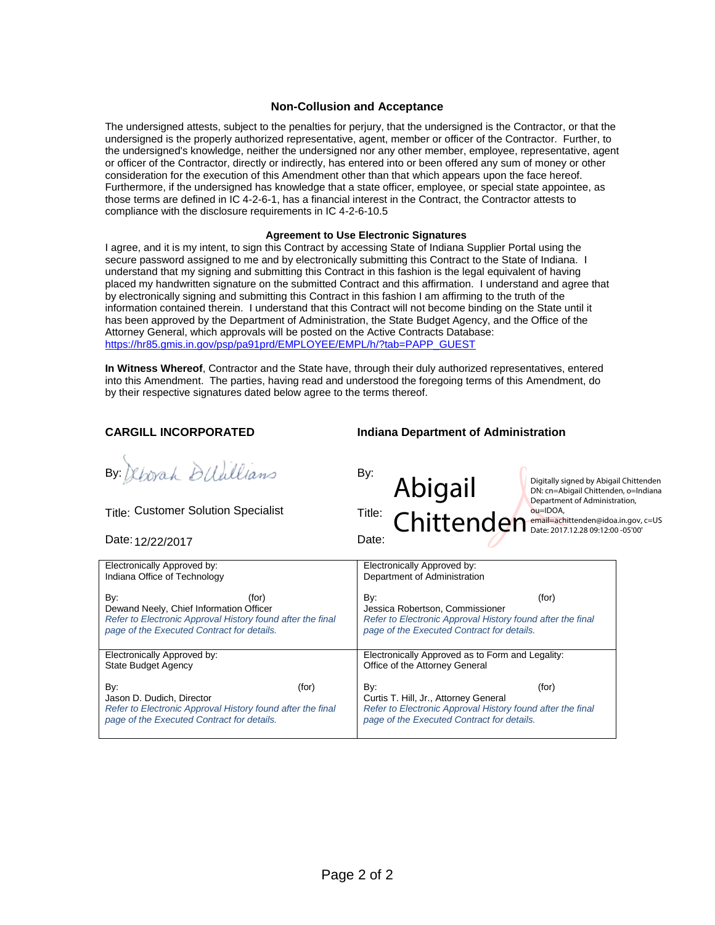## **Non-Collusion and Acceptance**

The undersigned attests, subject to the penalties for perjury, that the undersigned is the Contractor, or that the undersigned is the properly authorized representative, agent, member or officer of the Contractor. Further, to the undersigned's knowledge, neither the undersigned nor any other member, employee, representative, agent or officer of the Contractor, directly or indirectly, has entered into or been offered any sum of money or other consideration for the execution of this Amendment other than that which appears upon the face hereof. Furthermore, if the undersigned has knowledge that a state officer, employee, or special state appointee, as those terms are defined in IC 4-2-6-1, has a financial interest in the Contract, the Contractor attests to compliance with the disclosure requirements in IC 4-2-6-10.5

### **Agreement to Use Electronic Signatures**

I agree, and it is my intent, to sign this Contract by accessing State of Indiana Supplier Portal using the secure password assigned to me and by electronically submitting this Contract to the State of Indiana. I understand that my signing and submitting this Contract in this fashion is the legal equivalent of having placed my handwritten signature on the submitted Contract and this affirmation. I understand and agree that by electronically signing and submitting this Contract in this fashion I am affirming to the truth of the information contained therein. I understand that this Contract will not become binding on the State until it has been approved by the Department of Administration, the State Budget Agency, and the Office of the Attorney General, which approvals will be posted on the Active Contracts Database: https://hr85.gmis.in.gov/psp/pa91prd/EMPLOYEE/EMPL/h/?tab=PAPP\_GUEST

**In Witness Whereof**, Contractor and the State have, through their duly authorized representatives, entered into this Amendment. The parties, having read and understood the foregoing terms of this Amendment, do by their respective signatures dated below agree to the terms thereof.

eborah DUUllians By:

Title: Customer Solution Specialist Title:

Date: Date: 12/22/2017

## **CARGILL INCORPORATED Indiana Department of Administration**



| Electronically Approved by:                                | Electronically Approved by:                                |  |  |
|------------------------------------------------------------|------------------------------------------------------------|--|--|
| Indiana Office of Technology                               | Department of Administration                               |  |  |
| By:                                                        | By:                                                        |  |  |
| (for)                                                      | (for)                                                      |  |  |
| Dewand Neely, Chief Information Officer                    | Jessica Robertson, Commissioner                            |  |  |
| Refer to Electronic Approval History found after the final | Refer to Electronic Approval History found after the final |  |  |
| page of the Executed Contract for details.                 | page of the Executed Contract for details.                 |  |  |
| Electronically Approved by:<br><b>State Budget Agency</b>  | Electronically Approved as to Form and Legality:           |  |  |
|                                                            | Office of the Attorney General                             |  |  |
| By:                                                        | By:                                                        |  |  |
| (for)                                                      | (for)                                                      |  |  |
| Jason D. Dudich, Director                                  | Curtis T. Hill, Jr., Attorney General                      |  |  |
| Refer to Electronic Approval History found after the final | Refer to Electronic Approval History found after the final |  |  |
| page of the Executed Contract for details.                 | page of the Executed Contract for details.                 |  |  |